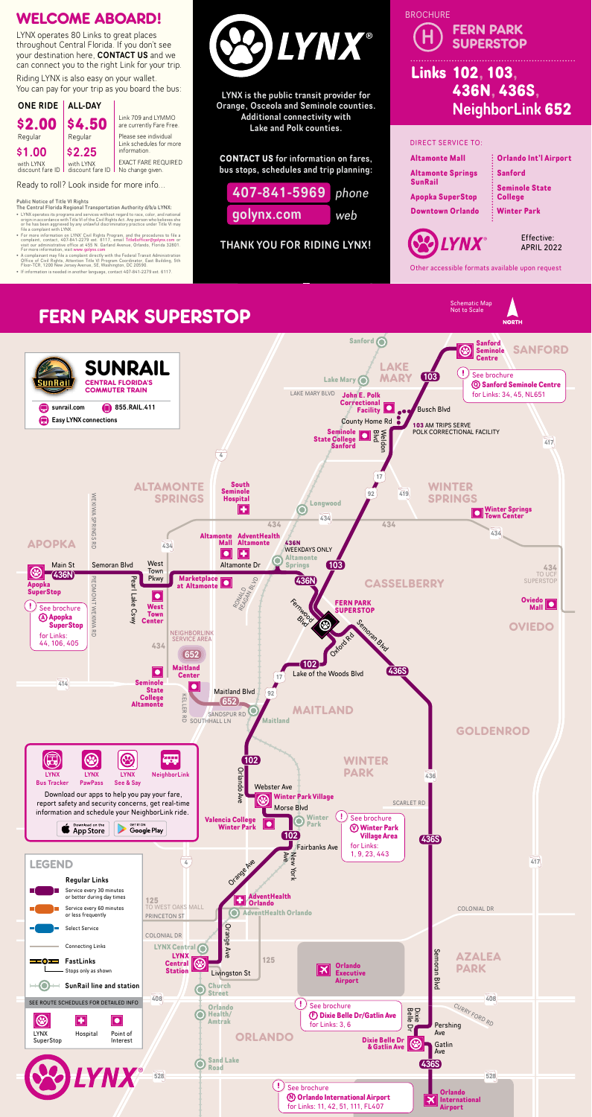LYNX is the public transit provider for Orange, Osceola and Seminole counties. Additional connectivity with Lake and Polk counties.

Riding LYNX is also easy on your wallet. You can pay for your trip as you board the bus:

> **CONTACT US** for information on fares, bus stops, schedules and trip planning:

THANK YOU FOR RIDING LYNX!



## WELCOME ABOARD!

Ready to roll? Look inside for more info...

- The Central Florida Regional Transportation Authority d/b/a LYNX:
- LYNX operates its programs and services without regard to race, color, and national<br>origin in accordance with Title VI of the Civil Rights Act. Any person who believes she<br>or he has been aggrieved by any unlawful discrim
- For more information on LYNX' Civil Rights Program, and the procedures to file a<br>complaint, contact, 407-841-2279 ext. 6117, email Title6officer@golynx.com or<br>visit our administrative office at 455 N. Garland Avenue, Orl
- A complainant may file a complaint directly with the Federal Transit Administration<br>Office of Civil Rights, Attention Title VI Program Coordinator, East Building, 5th<br>Floor-TCR, 1200 New Jersey Avenue, SE, Washington, DC 2
- 



LYNX operates 80 Links to great places throughout Central Florida. If you don't see your destination here, CONTACT US and we can connect you to the right Link for your trip.



Link 709 and LYMMO are currently Fare Free. Please see individual Link schedules for more

EXACT FARE REQUIRED No change given.

Other accessible formats available upon request

**NORTH** 



Schematic Map<br>Not to Scale

#### Public Notice of Title VI Rights

### 528 528 **FERN PARK SUPERSTOP**

# **Links 102, 103, 436N, 436S,** NeighborLink **652** H FERN PARK **BROCHURE**